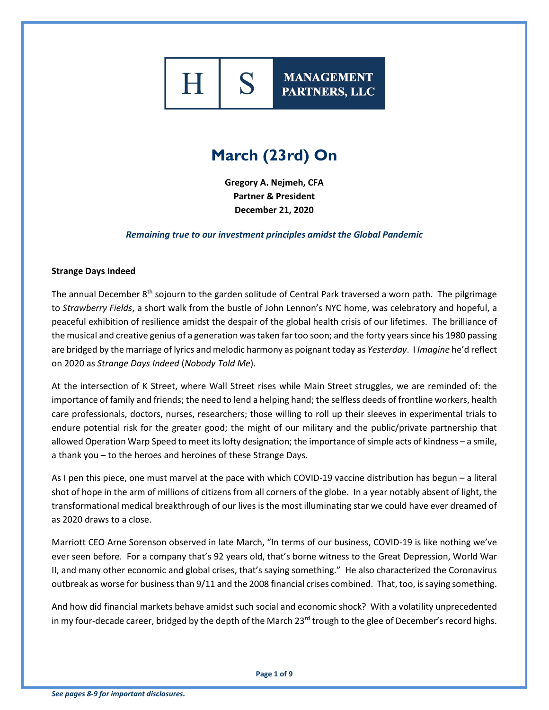# S

**MANAGEMENT** PARTNERS, LLC

## **March (23rd) On**

**Gregory A. Nejmeh, CFA Partner & President December 21, 2020**

*Remaining true to our investment principles amidst the Global Pandemic*

#### **Strange Days Indeed**

The annual December 8<sup>th</sup> sojourn to the garden solitude of Central Park traversed a worn path. The pilgrimage to *Strawberry Fields*, a short walk from the bustle of John Lennon's NYC home, was celebratory and hopeful, a peaceful exhibition of resilience amidst the despair of the global health crisis of our lifetimes. The brilliance of the musical and creative genius of a generation was taken far too soon; and the forty years since his 1980 passing are bridged by the marriage of lyrics and melodic harmony as poignant today as *Yesterday*. I *Imagine* he'd reflect on 2020 as *Strange Days Indeed* (*Nobody Told Me*).

At the intersection of K Street, where Wall Street rises while Main Street struggles, we are reminded of: the importance of family and friends; the need to lend a helping hand; the selfless deeds of frontline workers, health care professionals, doctors, nurses, researchers; those willing to roll up their sleeves in experimental trials to endure potential risk for the greater good; the might of our military and the public/private partnership that allowed Operation Warp Speed to meet its lofty designation; the importance of simple acts of kindness – a smile, a thank you – to the heroes and heroines of these Strange Days.

As I pen this piece, one must marvel at the pace with which COVID-19 vaccine distribution has begun – a literal shot of hope in the arm of millions of citizens from all corners of the globe. In a year notably absent of light, the transformational medical breakthrough of our lives is the most illuminating star we could have ever dreamed of as 2020 draws to a close.

Marriott CEO Arne Sorenson observed in late March, "In terms of our business, COVID-19 is like nothing we've ever seen before. For a company that's 92 years old, that's borne witness to the Great Depression, World War II, and many other economic and global crises, that's saying something." He also characterized the Coronavirus outbreak as worse for business than 9/11 and the 2008 financial crises combined. That, too, is saying something.

And how did financial markets behave amidst such social and economic shock? With a volatility unprecedented in my four-decade career, bridged by the depth of the March 23<sup>rd</sup> trough to the glee of December's record highs.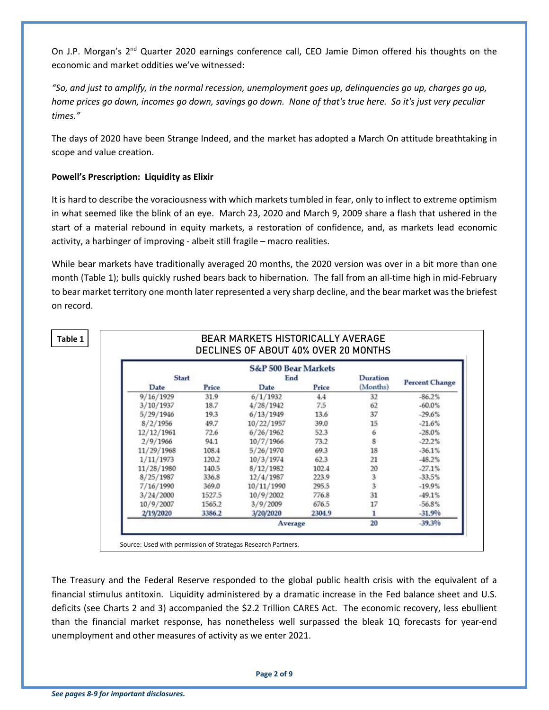On J.P. Morgan's 2<sup>nd</sup> Quarter 2020 earnings conference call, CEO Jamie Dimon offered his thoughts on the economic and market oddities we've witnessed:

*"So, and just to amplify, in the normal recession, unemployment goes up, delinquencies go up, charges go up, home prices go down, incomes go down, savings go down. None of that's true here. So it's just very peculiar times."*

The days of 2020 have been Strange Indeed, and the market has adopted a March On attitude breathtaking in scope and value creation.

### **Powell's Prescription: Liquidity as Elixir**

It is hard to describe the voraciousness with which markets tumbled in fear, only to inflect to extreme optimism in what seemed like the blink of an eye. March 23, 2020 and March 9, 2009 share a flash that ushered in the start of a material rebound in equity markets, a restoration of confidence, and, as markets lead economic activity, a harbinger of improving - albeit still fragile – macro realities.

While bear markets have traditionally averaged 20 months, the 2020 version was over in a bit more than one month (Table 1); bulls quickly rushed bears back to hibernation. The fall from an all-time high in mid-February to bear market territory one month later represented a very sharp decline, and the bear market was the briefest on record.

**Table 1**

|                       | Duration       |         | <b>S&amp;P 500 Bear Markets</b><br>End |        | <b>Start</b> |  |  |  |  |  |  |
|-----------------------|----------------|---------|----------------------------------------|--------|--------------|--|--|--|--|--|--|
| <b>Percent Change</b> | (Months)       | Price   | Date                                   | Price  | Date         |  |  |  |  |  |  |
| $-86.2%$              | 32             | 4.4     | 6/1/1932                               | 31.9   | 9/16/1929    |  |  |  |  |  |  |
| $-60.0%$              | 62             | 7.5     | 4/28/1942                              | 18.7   | 3/10/1937    |  |  |  |  |  |  |
| $-29.6%$              | 37             | 13.6    | 6/13/1949                              | 19.3   | 5/29/1946    |  |  |  |  |  |  |
| $-21.6%$              | 15             | 39.0    | 10/22/1957                             | 49.7   | 8/2/1956     |  |  |  |  |  |  |
| $-28.0%$              | 6              | 52.3    | 6/26/1962                              | 72.6   | 12/12/1961   |  |  |  |  |  |  |
| $-22.2%$              | Š              | 73.2    | 10/7/1966                              | 94.1   | 2/9/1966     |  |  |  |  |  |  |
| $-36.1%$              | 18             | 69.3    | 5/26/1970                              | 108.4  | 11/29/1968   |  |  |  |  |  |  |
| $-48.2%$              | 21             | 62.3    | 10/3/1974                              | 120.2  | 1/11/1973    |  |  |  |  |  |  |
| $-27.1%$              | 20             | 102.4   | 8/12/1982                              | 140.5  | 11/28/1980   |  |  |  |  |  |  |
| $-33.5%$              | 3              | 223.9   | 12/4/1987                              | 336.8  | 8/25/1987    |  |  |  |  |  |  |
| $-19.9%$              | $\overline{3}$ | 295.5   | 10/11/1990                             | 369.0  | 7/16/1990    |  |  |  |  |  |  |
| $-49.1%$              | 31             | 776.8   | 10/9/2002                              | 1527.5 | 3/24/2000    |  |  |  |  |  |  |
| $-56.8%$              | 17             | 676.5   | 3/9/2009                               | 1565.2 | 10/9/2007    |  |  |  |  |  |  |
| $-31.9%$              | 1              | 2304.9  | 3/20/2020                              | 3386.2 | 2/19/2020    |  |  |  |  |  |  |
| $-39.3%$              | 20             | Average |                                        |        |              |  |  |  |  |  |  |

BEAR MARKETS HISTORICALLY AVERAGE

Source: Used with permission of Strategas Research Partners.

The Treasury and the Federal Reserve responded to the global public health crisis with the equivalent of a financial stimulus antitoxin. Liquidity administered by a dramatic increase in the Fed balance sheet and U.S. deficits (see Charts 2 and 3) accompanied the \$2.2 Trillion CARES Act. The economic recovery, less ebullient than the financial market response, has nonetheless well surpassed the bleak 1Q forecasts for year-end unemployment and other measures of activity as we enter 2021.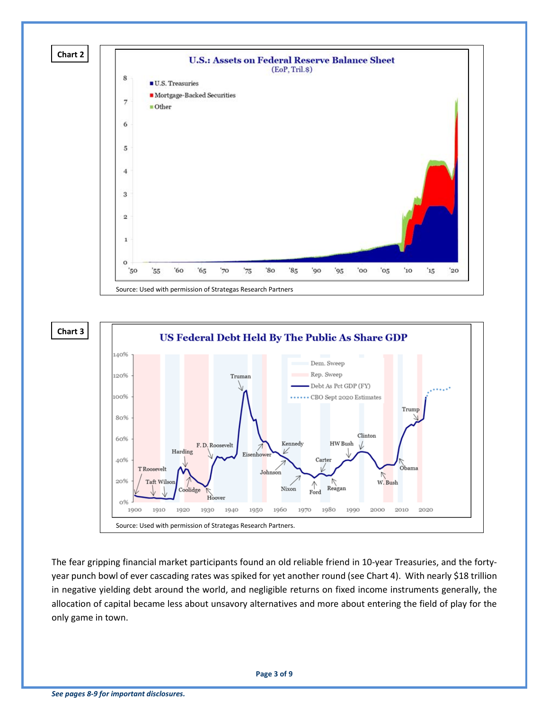

The fear gripping financial market participants found an old reliable friend in 10-year Treasuries, and the fortyyear punch bowl of ever cascading rates was spiked for yet another round (see Chart 4). With nearly \$18 trillion in negative yielding debt around the world, and negligible returns on fixed income instruments generally, the allocation of capital became less about unsavory alternatives and more about entering the field of play for the only game in town.

Johnson

1950

Nixon

1960

Reagan

1990

1980

Ford

1970

W. Bush

2010

2020

2000

Source: Used with permission of Strategas Research Partners.

1930

Hoover

1940

olidge

1920

20%

o% 1900 Taft Wils

1910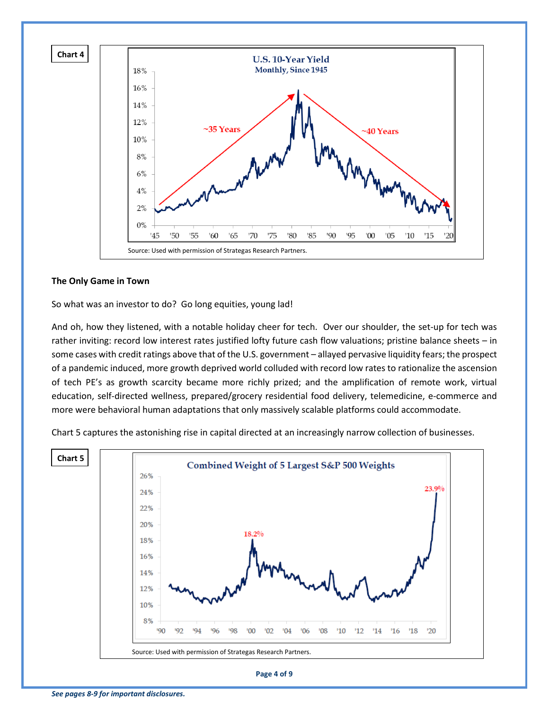

#### **The Only Game in Town**

So what was an investor to do? Go long equities, young lad!

And oh, how they listened, with a notable holiday cheer for tech. Over our shoulder, the set-up for tech was rather inviting: record low interest rates justified lofty future cash flow valuations; pristine balance sheets – in some cases with credit ratings above that of the U.S. government – allayed pervasive liquidity fears; the prospect of a pandemic induced, more growth deprived world colluded with record low rates to rationalize the ascension of tech PE's as growth scarcity became more richly prized; and the amplification of remote work, virtual education, self-directed wellness, prepared/grocery residential food delivery, telemedicine, e-commerce and more were behavioral human adaptations that only massively scalable platforms could accommodate.

Chart 5 captures the astonishing rise in capital directed at an increasingly narrow collection of businesses.

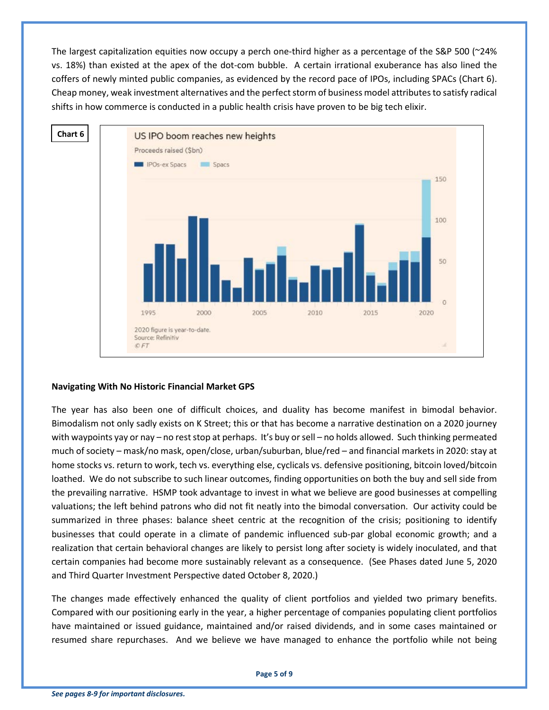The largest capitalization equities now occupy a perch one-third higher as a percentage of the S&P 500 (~24% vs. 18%) than existed at the apex of the dot-com bubble. A certain irrational exuberance has also lined the coffers of newly minted public companies, as evidenced by the record pace of IPOs, including SPACs (Chart 6). Cheap money, weak investment alternatives and the perfect storm of business model attributes to satisfy radical shifts in how commerce is conducted in a public health crisis have proven to be big tech elixir.



#### **Navigating With No Historic Financial Market GPS**

The year has also been one of difficult choices, and duality has become manifest in bimodal behavior. Bimodalism not only sadly exists on K Street; this or that has become a narrative destination on a 2020 journey with waypoints yay or nay – no rest stop at perhaps. It's buy or sell – no holds allowed. Such thinking permeated much of society – mask/no mask, open/close, urban/suburban, blue/red – and financial markets in 2020: stay at home stocks vs. return to work, tech vs. everything else, cyclicals vs. defensive positioning, bitcoin loved/bitcoin loathed. We do not subscribe to such linear outcomes, finding opportunities on both the buy and sell side from the prevailing narrative. HSMP took advantage to invest in what we believe are good businesses at compelling valuations; the left behind patrons who did not fit neatly into the bimodal conversation. Our activity could be summarized in three phases: balance sheet centric at the recognition of the crisis; positioning to identify businesses that could operate in a climate of pandemic influenced sub-par global economic growth; and a realization that certain behavioral changes are likely to persist long after society is widely inoculated, and that certain companies had become more sustainably relevant as a consequence. (See Phases dated June 5, 2020 and Third Quarter Investment Perspective dated October 8, 2020.)

The changes made effectively enhanced the quality of client portfolios and yielded two primary benefits. Compared with our positioning early in the year, a higher percentage of companies populating client portfolios have maintained or issued guidance, maintained and/or raised dividends, and in some cases maintained or resumed share repurchases. And we believe we have managed to enhance the portfolio while not being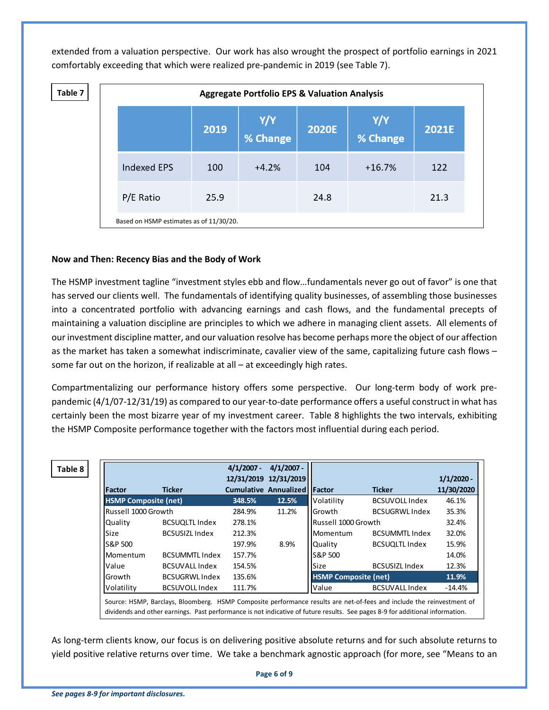extended from a valuation perspective. Our work has also wrought the prospect of portfolio earnings in 2021 comfortably exceeding that which were realized pre-pandemic in 2019 (see Table 7).

| Table 7 | <b>Aggregate Portfolio EPS &amp; Valuation Analysis</b> |                                         |      |                 |              |                |       |  |  |  |
|---------|---------------------------------------------------------|-----------------------------------------|------|-----------------|--------------|----------------|-------|--|--|--|
|         |                                                         |                                         | 2019 | Y/Y<br>% Change | <b>2020E</b> | $Y/Y$ % Change | 2021E |  |  |  |
|         |                                                         | <b>Indexed EPS</b>                      | 100  | $+4.2%$         | 104          | $+16.7%$       | 122   |  |  |  |
|         |                                                         | P/E Ratio                               | 25.9 |                 | 24.8         |                | 21.3  |  |  |  |
|         |                                                         | Based on HSMP estimates as of 11/30/20. |      |                 |              |                |       |  |  |  |

#### **Now and Then: Recency Bias and the Body of Work**

The HSMP investment tagline "investment styles ebb and flow…fundamentals never go out of favor" is one that has served our clients well. The fundamentals of identifying quality businesses, of assembling those businesses into a concentrated portfolio with advancing earnings and cash flows, and the fundamental precepts of maintaining a valuation discipline are principles to which we adhere in managing client assets. All elements of our investment discipline matter, and our valuation resolve has become perhaps more the object of our affection as the market has taken a somewhat indiscriminate, cavalier view of the same, capitalizing future cash flows – some far out on the horizon, if realizable at all – at exceedingly high rates.

Compartmentalizing our performance history offers some perspective. Our long-term body of work prepandemic (4/1/07-12/31/19) as compared to our year-to-date performance offers a useful construct in what has certainly been the most bizarre year of my investment career. Table 8 highlights the two intervals, exhibiting the HSMP Composite performance together with the factors most influential during each period.

| <b>Factor</b>               | <b>Ticker</b>         | $4/1/2007 -$ | $4/1/2007 -$<br>12/31/2019 12/31/2019<br><b>Cumulative Annualized Factor</b> |                             | <b>Ticker</b>         | $1/1/2020 -$<br>11/30/2020 |
|-----------------------------|-----------------------|--------------|------------------------------------------------------------------------------|-----------------------------|-----------------------|----------------------------|
| <b>HSMP Composite (net)</b> |                       | 348.5%       | 12.5%                                                                        | Volatility                  | <b>BCSUVOLL Index</b> | 46.1%                      |
| Russell 1000 Growth         |                       | 284.9%       | 11.2%                                                                        | <b>I</b> Growth             | <b>BCSUGRWL Index</b> | 35.3%                      |
| <b>Quality</b>              | <b>BCSUQLTL Index</b> | 278.1%       |                                                                              | Russell 1000 Growth         |                       | 32.4%                      |
| Size                        | <b>BCSUSIZL Index</b> | 212.3%       |                                                                              | Momentum                    | <b>BCSUMMTL Index</b> | 32.0%                      |
| IS&P 500                    |                       | 197.9%       | 8.9%                                                                         | <b>Ouality</b>              | <b>BCSUQLTL Index</b> | 15.9%                      |
| <b>Momentum</b>             | <b>BCSUMMTL Index</b> | 157.7%       |                                                                              | S&P 500                     |                       | 14.0%                      |
| <b>Value</b>                | <b>BCSUVALL Index</b> | 154.5%       |                                                                              | Size                        | <b>BCSUSIZL Index</b> | 12.3%                      |
| lGrowth                     | <b>BCSUGRWL Index</b> | 135.6%       |                                                                              | <b>HSMP Composite (net)</b> |                       | 11.9%                      |
| Volatility                  | <b>BCSUVOLL Index</b> | 111.7%       |                                                                              | Value                       | <b>BCSUVALL Index</b> | -14.4%                     |

arclays, Bloomberg. HSMP Composite performance results are net-c dividends and other earnings. Past performance is not indicative of future results. See pages 8-9 for additional information.

As long-term clients know, our focus is on delivering positive absolute returns and for such absolute returns to yield positive relative returns over time. We take a benchmark agnostic approach (for more, see "Means to an

**Page 6 of 9**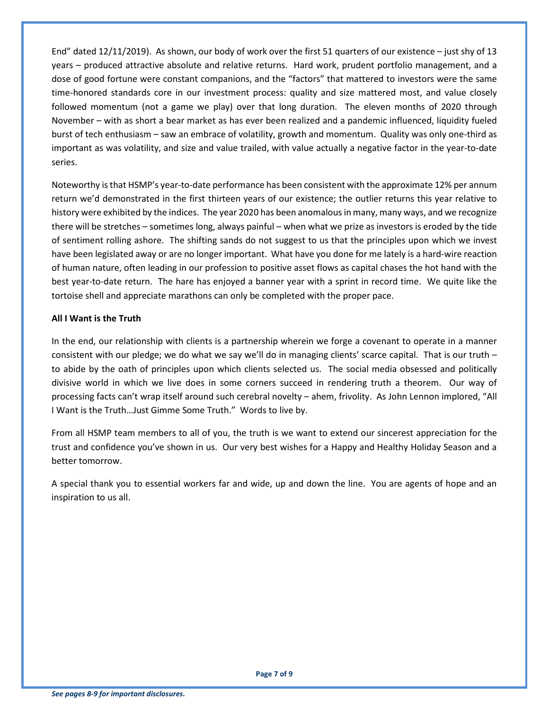End" dated 12/11/2019). As shown, our body of work over the first 51 quarters of our existence – just shy of 13 years – produced attractive absolute and relative returns. Hard work, prudent portfolio management, and a dose of good fortune were constant companions, and the "factors" that mattered to investors were the same time-honored standards core in our investment process: quality and size mattered most, and value closely followed momentum (not a game we play) over that long duration. The eleven months of 2020 through November – with as short a bear market as has ever been realized and a pandemic influenced, liquidity fueled burst of tech enthusiasm – saw an embrace of volatility, growth and momentum. Quality was only one-third as important as was volatility, and size and value trailed, with value actually a negative factor in the year-to-date series.

Noteworthy is that HSMP's year-to-date performance has been consistent with the approximate 12% per annum return we'd demonstrated in the first thirteen years of our existence; the outlier returns this year relative to history were exhibited by the indices. The year 2020 has been anomalousin many, many ways, and we recognize there will be stretches – sometimes long, always painful – when what we prize as investors is eroded by the tide of sentiment rolling ashore. The shifting sands do not suggest to us that the principles upon which we invest have been legislated away or are no longer important. What have you done for me lately is a hard-wire reaction of human nature, often leading in our profession to positive asset flows as capital chases the hot hand with the best year-to-date return. The hare has enjoyed a banner year with a sprint in record time. We quite like the tortoise shell and appreciate marathons can only be completed with the proper pace.

#### **All I Want is the Truth**

In the end, our relationship with clients is a partnership wherein we forge a covenant to operate in a manner consistent with our pledge; we do what we say we'll do in managing clients' scarce capital. That is our truth – to abide by the oath of principles upon which clients selected us. The social media obsessed and politically divisive world in which we live does in some corners succeed in rendering truth a theorem. Our way of processing facts can't wrap itself around such cerebral novelty – ahem, frivolity. As John Lennon implored, "All I Want is the Truth…Just Gimme Some Truth." Words to live by.

From all HSMP team members to all of you, the truth is we want to extend our sincerest appreciation for the trust and confidence you've shown in us. Our very best wishes for a Happy and Healthy Holiday Season and a better tomorrow.

A special thank you to essential workers far and wide, up and down the line. You are agents of hope and an inspiration to us all.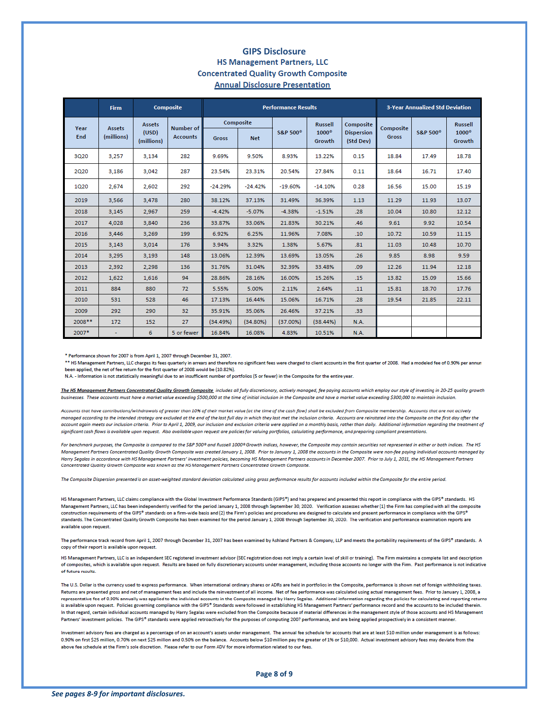#### **GIPS DisclosureHS Management Partners, LLC Concentrated Quality Growth Composite Annual Disclosure Presentation**

|             | <b>Firm</b>                 |                                      | <b>Composite</b>             | <b>Performance Results</b> |             |                      |                        |                                             | <b>3-Year Annualized Std Deviation</b> |                      |                        |
|-------------|-----------------------------|--------------------------------------|------------------------------|----------------------------|-------------|----------------------|------------------------|---------------------------------------------|----------------------------------------|----------------------|------------------------|
| Year<br>End | <b>Assets</b><br>(millions) | <b>Assets</b><br>(USD)<br>(millions) | Number of<br><b>Accounts</b> |                            | Composite   |                      | <b>Russell</b>         | Composite<br><b>Dispersion</b><br>(Std Dev) | Composite<br><b>Gross</b>              | S&P 500 <sup>®</sup> | <b>Russell</b>         |
|             |                             |                                      |                              | <b>Gross</b>               | <b>Net</b>  | S&P 500 <sup>®</sup> | $1000^\circ$<br>Growth |                                             |                                        |                      | $1000^\circ$<br>Growth |
| 3Q20        | 3,257                       | 3,134                                | 282                          | 9.69%                      | 9.50%       | 8.93%                | 13.22%                 | 0.15                                        | 18.84                                  | 17.49                | 18.78                  |
| 2Q20        | 3.186                       | 3.042                                | 287                          | 23.54%                     | 23.31%      | 20.54%               | 27.84%                 | 0.11                                        | 18.64                                  | 16.71                | 17.40                  |
| 1Q20        | 2,674                       | 2,602                                | 292                          | $-24.29%$                  | $-24.42%$   | $-19.60%$            | $-14.10%$              | 0.28                                        | 16.56                                  | 15.00                | 15.19                  |
| 2019        | 3,566                       | 3,478                                | 280                          | 38.12%                     | 37.13%      | 31.49%               | 36.39%                 | 1.13                                        | 11.29                                  | 11.93                | 13.07                  |
| 2018        | 3.145                       | 2.967                                | 259                          | $-4.42%$                   | $-5.07%$    | $-4.38%$             | $-1.51%$               | .28                                         | 10.04                                  | 10.80                | 12.12                  |
| 2017        | 4.028                       | 3.840                                | 236                          | 33.87%                     | 33.06%      | 21.83%               | 30.21%                 | .46                                         | 9.61                                   | 9.92                 | 10.54                  |
| 2016        | 3,446                       | 3,269                                | 199                          | 6.92%                      | 6.25%       | 11.96%               | 7.08%                  | .10                                         | 10.72                                  | 10.59                | 11.15                  |
| 2015        | 3.143                       | 3,014                                | 176                          | 3.94%                      | 3.32%       | 1.38%                | 5.67%                  | .81                                         | 11.03                                  | 10.48                | 10.70                  |
| 2014        | 3,295                       | 3,193                                | 148                          | 13.06%                     | 12.39%      | 13.69%               | 13.05%                 | .26                                         | 9.85                                   | 8.98                 | 9.59                   |
| 2013        | 2,392                       | 2,298                                | 136                          | 31.76%                     | 31.04%      | 32.39%               | 33.48%                 | .09                                         | 12.26                                  | 11.94                | 12.18                  |
| 2012        | 1,622                       | 1,616                                | 94                           | 28.86%                     | 28.16%      | 16.00%               | 15.26%                 | .15                                         | 13.82                                  | 15.09                | 15.66                  |
| 2011        | 884                         | 880                                  | 72                           | 5.55%                      | 5.00%       | 2.11%                | 2.64%                  | .11                                         | 15.81                                  | 18.70                | 17.76                  |
| 2010        | 531                         | 528                                  | 46                           | 17.13%                     | 16.44%      | 15.06%               | 16.71%                 | .28                                         | 19.54                                  | 21.85                | 22.11                  |
| 2009        | 292                         | 290                                  | 32                           | 35.91%                     | 35.06%      | 26.46%               | 37.21%                 | .33                                         |                                        |                      |                        |
| 2008 **     | 172                         | 152                                  | 27                           | (34.49%)                   | $(34.80\%)$ | $(37.00\%)$          | (38.44%)               | <b>N.A.</b>                                 |                                        |                      |                        |
| 2007*       |                             | 6                                    | 5 or fewer                   | 16.84%                     | 16.08%      | 4.83%                | 10.51%                 | <b>N.A.</b>                                 |                                        |                      |                        |

\* Performance shown for 2007 is from April 1, 2007 through December 31, 2007.

\*\* HS Management Partners, LLC charges its fees quarterly in arrears and therefore no significant fees were charged to client accounts in the first quarter of 2008. Had a modeled fee of 0.90% per annun been applied, the net of fee return for the first quarter of 2008 would be (10.82%).

N.A. - Information is not statistically meaningful due to an insufficient number of portfolios (5 or fewer) in the Composite for the entire year.

The HS Management Partners Concentrated Quality Growth Composite includes all fully discretionary, actively managed, fee paying accounts which employ our style of investing in 20-25 quality growth businesses. These accounts must have a market value exceeding \$500,000 at the time of initial inclusion in the Composite and have a market value exceeding \$300,000 to maintain inclusion.

Accounts that have contributions/withdrawals of greater than 10% of their market value (at the time of the cash flow) shall be excluded from Composite membership. Accounts that are not actively managed according to the intended strategy are excluded at the end of the last full day in which they last met the inclusion criteria. Accounts are reinstated into the Composite on the first day after the account again meets our inclusion criteria. Prior to April 1, 2009, our inclusion and exclusion criteria were applied on a monthly basis, rather than daily. Additional information regarding the treatment of significant cash flows is available upon request. Also available upon request are policies for valuing portfolios, calculating performance, and preparing compliant presentations.

For benchmark purposes, the Composite is compared to the S&P 500° and Russell 1000° Growth indices, however, the Composite may contain securities not represented in either or both indices. The HS Management Partners Concentrated Quality Growth Composite was created January 1, 2008. Prior to January 1, 2008 the accounts in the Composite were non-fee paying individual accounts managed by Harry Segalas in accordance with HS Management Partners' investment policies, becoming HS Management Partners accounts in December 2007. Prior to July 1, 2011, the HS Management Partners Concentrated Quality Growth Composite was known as the HS Management Partners Concentrated Growth Composite.

The Composite Dispersion presented is an asset-weighted standard deviation calculated using gross performance results for accounts included within the Composite for the entire period.

HS Management Partners, LLC claims compliance with the Global Investment Performance Standards (GIPS®) and has prepared and presented this report in compliance with the GIPS® standards. HS Management Partners, LLC has been independently verified for the period January 1, 2008 through September 30, 2020. Verification assesses whether (1) the Firm has complied with all the composite construction requirements of the GIPS® standards on a firm-wide basis and (2) the Firm's policies and procedures are designed to calculate and present performance in compliance with the GIPS® standards. The Concentrated Quality Growth Composite has been examined for the period January 1, 2008 through September 30, 2020. The verification and performance examination reports are available upon request.

The performance track record from April 1, 2007 through December 31, 2007 has been examined by Ashland Partners & Company, LLP and meets the portability requirements of the GIPS® standards. A copy of their report is available upon request.

HS Management Partners, LLC is an independent SEC registered investment advisor (SEC registration does not imply a certain level of skill or training). The Firm maintains a complete list and description of composites, which is available upon request. Results are based on fully discretionary accounts under management, including those accounts no longer with the Firm. Past performance is not indicative of future results.

The U.S. Dollar is the currency used to express performance. When international ordinary shares or ADRs are held in portfolios in the Composite, performance is shown net of foreign withholding taxes. Returns are presented gross and net of management fees and include the reinvestment of all income. Net of fee performance was calculated using actual management fees. Prior to January 1, 2008, a representative fee of 0.90% annually was applied to the individual accounts in the Composite managed by Harry Segalas. Additional information regarding the policies for calculating and reporting returns is available upon request. Policies governing compliance with the GIPS® Standards were followed in establishing HS Management Partners' performance record and the accounts to be included therein. In that regard, certain individual accounts managed by Harry Segalas were excluded from the Composite because of material differences in the management style of those accounts and HS Management Partners' investment policies. The GIPS® standards were applied retroactively for the purposes of computing 2007 performance, and are being applied prospectively in a consistent manner

Investment advisory fees are charged as a percentage of on an account's assets under management. The annual fee schedule for accounts that are at least \$10 million under management is as follows: 0.90% on first \$25 million, 0.70% on next \$25 million and 0.50% on the balance. Accounts below \$10 million pay the greater of 1% or \$10,000. Actual investment advisory fees may deviate from the above fee schedule at the Firm's sole discretion. Please refer to our Form ADV for more information related to our fees.